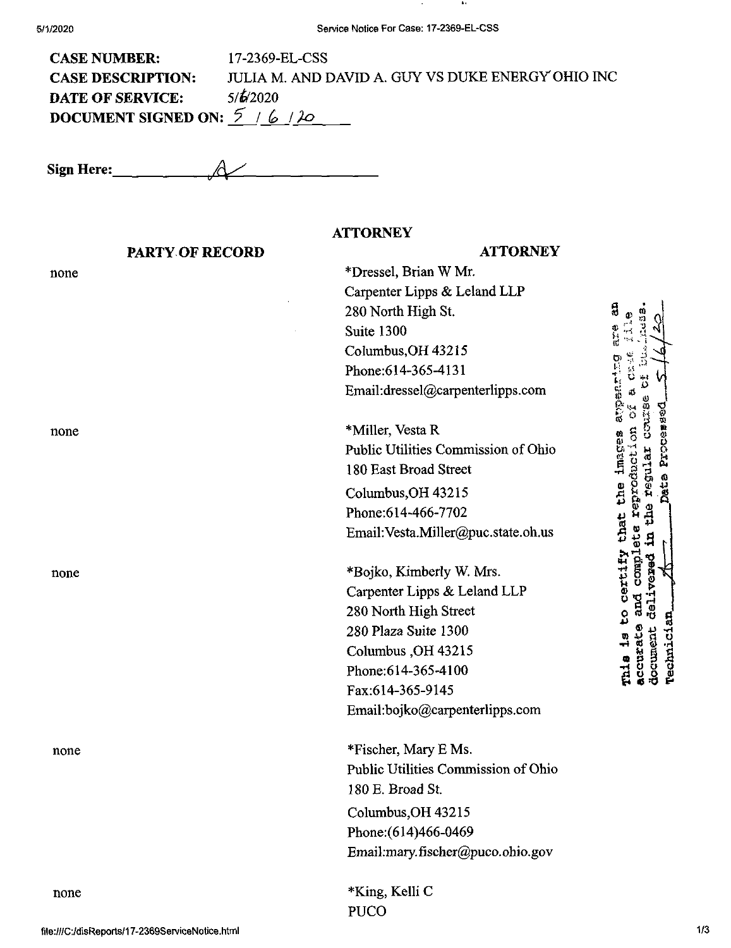| <b>CASE NUMBER:</b>          | 17-2369-EL-CSS                                    |
|------------------------------|---------------------------------------------------|
| <b>CASE DESCRIPTION:</b>     | JULIA M. AND DAVID A. GUY VS DUKE ENERGY OHIO INC |
| <b>DATE OF SERVICE:</b>      | 5/6/2020                                          |
| DOCUMENT SIGNED ON: $5/6/20$ |                                                   |

**Sign Here:. 4^**

### **ATTORNEY PARTY OF RECORD ATTORNEY** \*Dressel, Brian W Mr. none Carpenter Lipps & Leland LLP 쉲 280 North High St.  $\Omega$  $\frac{1}{2}$ Suite 1300 CoIumbus,OH 43215 **ti' o** Phone:614-365-4131 Email:dressel@carpenterlipps.com ø \*Miller, Vesta R none Public Utilities Commission of Ohio **'11 <sup>W</sup>** 180 East Broad Street **>Pp\*** Columbus, OH 43215 Phone:614-466-7702 Email:Vesta.Miller@puc.state.oh.us **3** \*Bojko, Kimberly W. Mrs. none Carpenter Lipps & Leland LLP 280 North High Street mia is to 280 Plaza Suite 1300 Columbus ,OH 43215 Phone:614-365-4100 Fax:614-365-9145 Email:bojko@carpenterlipps.com none \*Fischer, Mary E Ms. Public Utilities Commission of Ohio 180 E. Broad St. Columbus,OH 43215 Phone:(614)466-0469 Email:mary.fischer@puco.ohio.gov none \*King, Kelli C PUCO

**s**

*D*

్రే

G O

**complete**<br>rered in t

**s**fS **®**

**a** corrate<br>document document<br>Technici

**o g**

51<br>11

**•vfl**

*Ki &*

> **o o**k *04* **(0** *&*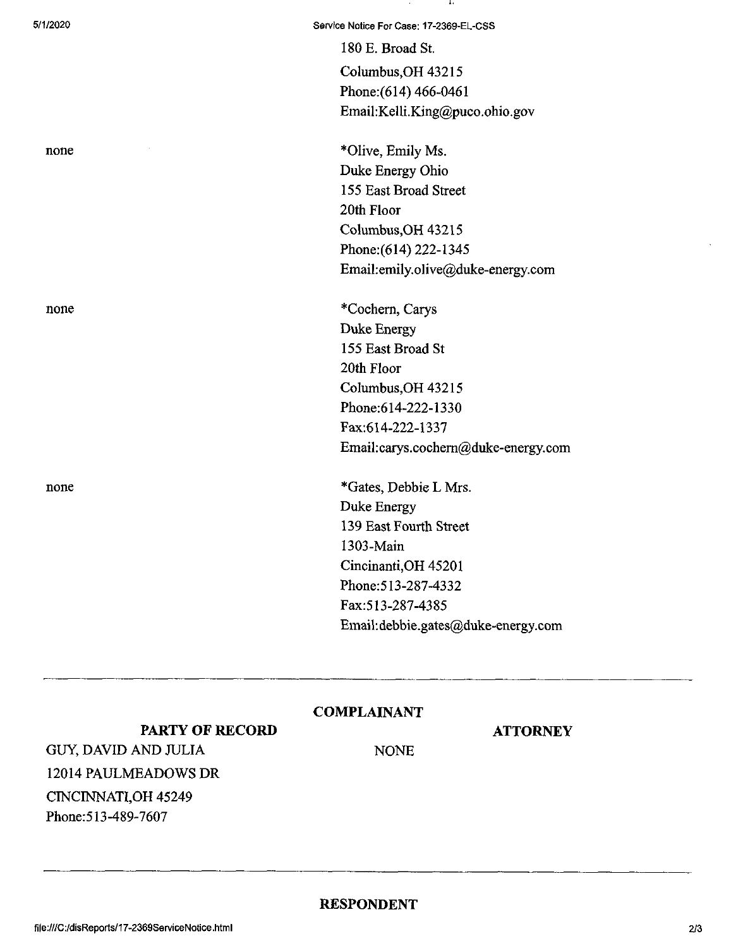none

180 E. Broad St.

Columbus,OH 43215 Phone:(614) 466-0461 Email:Kelli.King@puco.ohio.gov

\*OIive, Emily Ms. Duke Energy Ohio 155 East Broad Street 20th Floor Columbus,OH 43215 Phone:(614) 222-1345 Email:emily.olive@duke-energy.com

none \*Cochern, Carys Duke Energy 155 East Broad St 20th Floor Columbus,OH 43215 Phone:614-222-1330 Fax:614-222-1337 Email:carys.cochem@duke-energy.com

none \*Gates, Debbie L Mrs. Duke Energy 139 East Fourth Street 1303-Main Cincinanti,OH 45201 Phone:513-287-4332 Fax:513-287-4385 Email:debbie.gates@duke-energy.com

## **COMPLAINANT**

**ATTORNEY**

**PARTY OF RECORD** GUY, DAVID AND JULIA 12014 PAULMEADOWS DR CINCINNATI,OH 45249 Phone:513-489-7607

NONE

## **RESPONDENT**